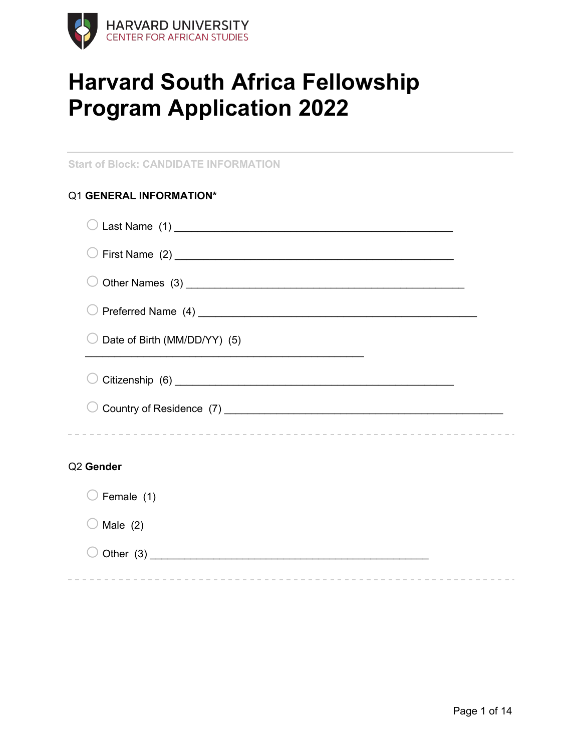

# **Harvard South Africa Fellowship Program Application 2022**

**Start of Block: CANDIDATE INFORMATION**

|  | Q1 GENERAL INFORMATION* |  |  |  |  |
|--|-------------------------|--|--|--|--|
|--|-------------------------|--|--|--|--|

| Date of Birth (MM/DD/YY) (5)<br>the control of the control of the control of the control of the control of the control of the control of the control of the control of the control of the control of the control of the control of the control of the control |  |
|---------------------------------------------------------------------------------------------------------------------------------------------------------------------------------------------------------------------------------------------------------------|--|
|                                                                                                                                                                                                                                                               |  |
|                                                                                                                                                                                                                                                               |  |
| Q <sub>2</sub> Gender                                                                                                                                                                                                                                         |  |
| Female (1)                                                                                                                                                                                                                                                    |  |
| Male $(2)$                                                                                                                                                                                                                                                    |  |
|                                                                                                                                                                                                                                                               |  |

----------------------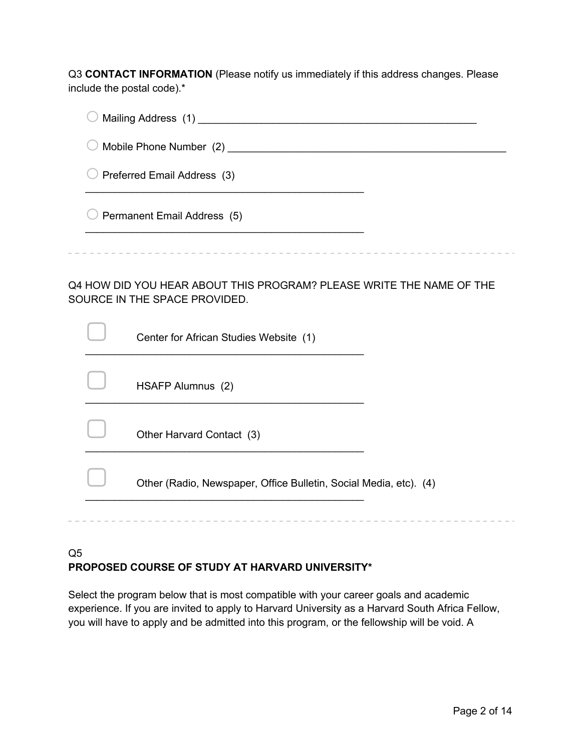Q3 **CONTACT INFORMATION** (Please notify us immediately if this address changes. Please include the postal code).\*

| Mailing Address (1)                                                                                   |  |
|-------------------------------------------------------------------------------------------------------|--|
| Mobile Phone Number (2)                                                                               |  |
| Preferred Email Address (3)                                                                           |  |
| Permanent Email Address (5)                                                                           |  |
|                                                                                                       |  |
| Q4 HOW DID YOU HEAR ABOUT THIS PROGRAM? PLEASE WRITE THE NAME OF THE<br>SOURCE IN THE SPACE PROVIDED. |  |

| Center for African Studies Website (1)                            |
|-------------------------------------------------------------------|
| HSAFP Alumnus (2)                                                 |
| Other Harvard Contact (3)                                         |
| Other (Radio, Newspaper, Office Bulletin, Social Media, etc). (4) |
|                                                                   |

## Q5 **PROPOSED COURSE OF STUDY AT HARVARD UNIVERSITY\***

Select the program below that is most compatible with your career goals and academic experience. If you are invited to apply to Harvard University as a Harvard South Africa Fellow, you will have to apply and be admitted into this program, or the fellowship will be void. A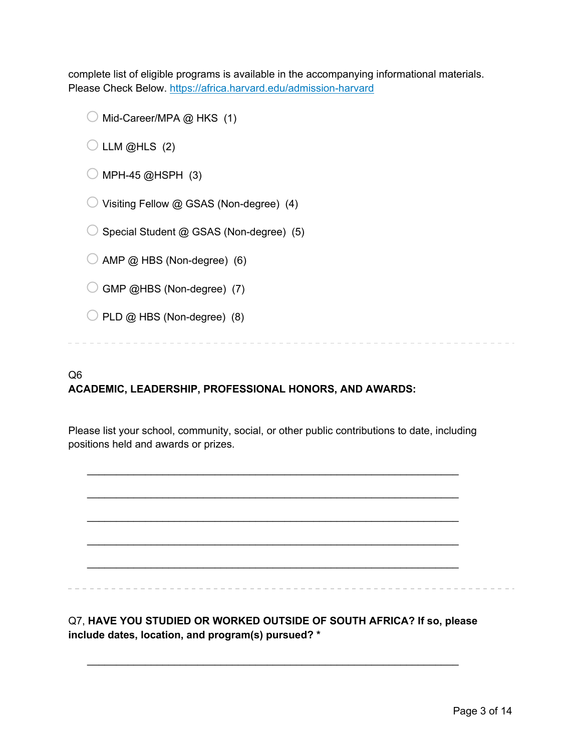complete list of eligible programs is available in the accompanying informational materials. Please Check Below. https://africa.harvard.edu/admission-harvard

 $\bigcirc$  Mid-Career/MPA  $\omega$  HKS (1)

 $\bigcirc$  LLM @HLS (2)

 $\bigcirc$  MPH-45 @HSPH (3)

 $\bigcirc$  Visiting Fellow @ GSAS (Non-degree) (4)

 $\bigcirc$  Special Student @ GSAS (Non-degree) (5)

 $\bigcirc$  AMP  $\textcircled{a}$  HBS (Non-degree) (6)

 $\bigcirc$  GMP @HBS (Non-degree) (7)

 $\bigcirc$  PLD  $\omega$  HBS (Non-degree) (8)

# Q6

## **ACADEMIC, LEADERSHIP, PROFESSIONAL HONORS, AND AWARDS:**

Please list your school, community, social, or other public contributions to date, including positions held and awards or prizes.

 $\mathcal{L}_\text{max} = \mathcal{L}_\text{max} = \mathcal{L}_\text{max} = \mathcal{L}_\text{max} = \mathcal{L}_\text{max} = \mathcal{L}_\text{max} = \mathcal{L}_\text{max} = \mathcal{L}_\text{max} = \mathcal{L}_\text{max} = \mathcal{L}_\text{max} = \mathcal{L}_\text{max} = \mathcal{L}_\text{max} = \mathcal{L}_\text{max} = \mathcal{L}_\text{max} = \mathcal{L}_\text{max} = \mathcal{L}_\text{max} = \mathcal{L}_\text{max} = \mathcal{L}_\text{max} = \mathcal{$ 

 $\mathcal{L}_\text{max} = \mathcal{L}_\text{max} = \mathcal{L}_\text{max} = \mathcal{L}_\text{max} = \mathcal{L}_\text{max} = \mathcal{L}_\text{max} = \mathcal{L}_\text{max} = \mathcal{L}_\text{max} = \mathcal{L}_\text{max} = \mathcal{L}_\text{max} = \mathcal{L}_\text{max} = \mathcal{L}_\text{max} = \mathcal{L}_\text{max} = \mathcal{L}_\text{max} = \mathcal{L}_\text{max} = \mathcal{L}_\text{max} = \mathcal{L}_\text{max} = \mathcal{L}_\text{max} = \mathcal{$ 

 $\mathcal{L}_\text{max} = \mathcal{L}_\text{max} = \mathcal{L}_\text{max} = \mathcal{L}_\text{max} = \mathcal{L}_\text{max} = \mathcal{L}_\text{max} = \mathcal{L}_\text{max} = \mathcal{L}_\text{max} = \mathcal{L}_\text{max} = \mathcal{L}_\text{max} = \mathcal{L}_\text{max} = \mathcal{L}_\text{max} = \mathcal{L}_\text{max} = \mathcal{L}_\text{max} = \mathcal{L}_\text{max} = \mathcal{L}_\text{max} = \mathcal{L}_\text{max} = \mathcal{L}_\text{max} = \mathcal{$  $\mathcal{L}_\text{max} = \mathcal{L}_\text{max} = \mathcal{L}_\text{max} = \mathcal{L}_\text{max} = \mathcal{L}_\text{max} = \mathcal{L}_\text{max} = \mathcal{L}_\text{max} = \mathcal{L}_\text{max} = \mathcal{L}_\text{max} = \mathcal{L}_\text{max} = \mathcal{L}_\text{max} = \mathcal{L}_\text{max} = \mathcal{L}_\text{max} = \mathcal{L}_\text{max} = \mathcal{L}_\text{max} = \mathcal{L}_\text{max} = \mathcal{L}_\text{max} = \mathcal{L}_\text{max} = \mathcal{$  $\mathcal{L}_\text{max} = \mathcal{L}_\text{max} = \mathcal{L}_\text{max} = \mathcal{L}_\text{max} = \mathcal{L}_\text{max} = \mathcal{L}_\text{max} = \mathcal{L}_\text{max} = \mathcal{L}_\text{max} = \mathcal{L}_\text{max} = \mathcal{L}_\text{max} = \mathcal{L}_\text{max} = \mathcal{L}_\text{max} = \mathcal{L}_\text{max} = \mathcal{L}_\text{max} = \mathcal{L}_\text{max} = \mathcal{L}_\text{max} = \mathcal{L}_\text{max} = \mathcal{L}_\text{max} = \mathcal{$ 

Q7, **HAVE YOU STUDIED OR WORKED OUTSIDE OF SOUTH AFRICA? If so, please include dates, location, and program(s) pursued? \***

 $\mathcal{L}_\text{max} = \mathcal{L}_\text{max} = \mathcal{L}_\text{max} = \mathcal{L}_\text{max} = \mathcal{L}_\text{max} = \mathcal{L}_\text{max} = \mathcal{L}_\text{max} = \mathcal{L}_\text{max} = \mathcal{L}_\text{max} = \mathcal{L}_\text{max} = \mathcal{L}_\text{max} = \mathcal{L}_\text{max} = \mathcal{L}_\text{max} = \mathcal{L}_\text{max} = \mathcal{L}_\text{max} = \mathcal{L}_\text{max} = \mathcal{L}_\text{max} = \mathcal{L}_\text{max} = \mathcal{$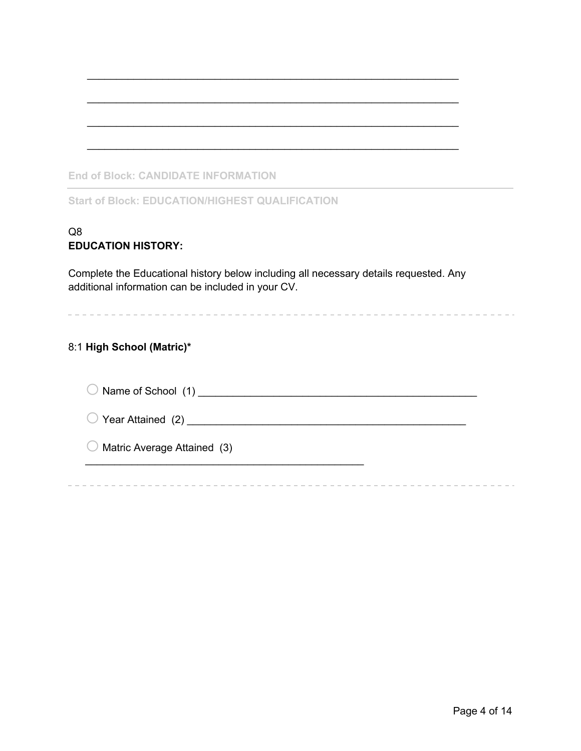|--|

**Start of Block: EDUCATION/HIGHEST QUALIFICATION**

#### Q8 **EDUCATION HISTORY:**

Complete the Educational history below including all necessary details requested. Any additional information can be included in your CV.

 $\mathcal{L}_\text{max} = \mathcal{L}_\text{max} = \mathcal{L}_\text{max} = \mathcal{L}_\text{max} = \mathcal{L}_\text{max} = \mathcal{L}_\text{max} = \mathcal{L}_\text{max} = \mathcal{L}_\text{max} = \mathcal{L}_\text{max} = \mathcal{L}_\text{max} = \mathcal{L}_\text{max} = \mathcal{L}_\text{max} = \mathcal{L}_\text{max} = \mathcal{L}_\text{max} = \mathcal{L}_\text{max} = \mathcal{L}_\text{max} = \mathcal{L}_\text{max} = \mathcal{L}_\text{max} = \mathcal{$ 

 $\mathcal{L}_\text{max} = \mathcal{L}_\text{max} = \mathcal{L}_\text{max} = \mathcal{L}_\text{max} = \mathcal{L}_\text{max} = \mathcal{L}_\text{max} = \mathcal{L}_\text{max} = \mathcal{L}_\text{max} = \mathcal{L}_\text{max} = \mathcal{L}_\text{max} = \mathcal{L}_\text{max} = \mathcal{L}_\text{max} = \mathcal{L}_\text{max} = \mathcal{L}_\text{max} = \mathcal{L}_\text{max} = \mathcal{L}_\text{max} = \mathcal{L}_\text{max} = \mathcal{L}_\text{max} = \mathcal{$ 

 $\mathcal{L}_\text{max} = \mathcal{L}_\text{max} = \mathcal{L}_\text{max} = \mathcal{L}_\text{max} = \mathcal{L}_\text{max} = \mathcal{L}_\text{max} = \mathcal{L}_\text{max} = \mathcal{L}_\text{max} = \mathcal{L}_\text{max} = \mathcal{L}_\text{max} = \mathcal{L}_\text{max} = \mathcal{L}_\text{max} = \mathcal{L}_\text{max} = \mathcal{L}_\text{max} = \mathcal{L}_\text{max} = \mathcal{L}_\text{max} = \mathcal{L}_\text{max} = \mathcal{L}_\text{max} = \mathcal{$ 

 $\mathcal{L}_\text{max} = \mathcal{L}_\text{max} = \mathcal{L}_\text{max} = \mathcal{L}_\text{max} = \mathcal{L}_\text{max} = \mathcal{L}_\text{max} = \mathcal{L}_\text{max} = \mathcal{L}_\text{max} = \mathcal{L}_\text{max} = \mathcal{L}_\text{max} = \mathcal{L}_\text{max} = \mathcal{L}_\text{max} = \mathcal{L}_\text{max} = \mathcal{L}_\text{max} = \mathcal{L}_\text{max} = \mathcal{L}_\text{max} = \mathcal{L}_\text{max} = \mathcal{L}_\text{max} = \mathcal{$ 

## 8:1 **High School (Matric)\***

| $\bigcirc$ Name of School (1)          |  |
|----------------------------------------|--|
| $\bigcirc$ Year Attained (2)           |  |
| $\bigcirc$ Matric Average Attained (3) |  |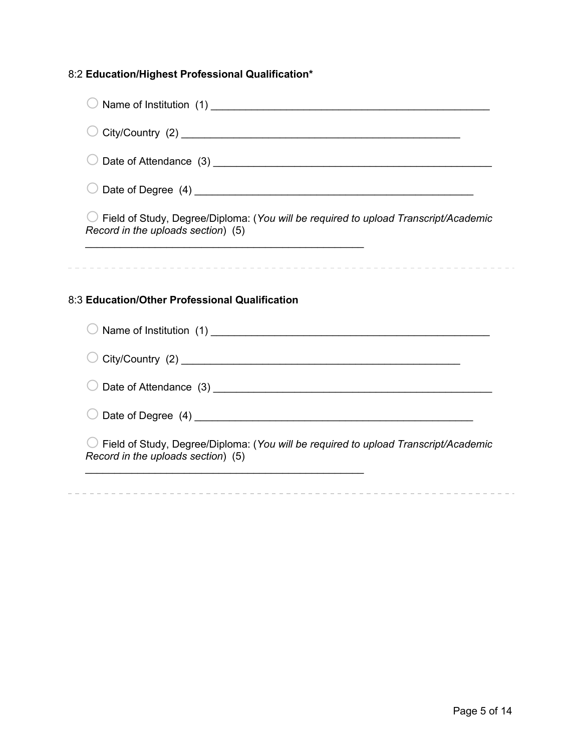# 8:2 **Education/Highest Professional Qualification\***

| $\bigcirc$ Field of Study, Degree/Diploma: (You will be required to upload Transcript/Academic<br>Record in the uploads section) (5) |
|--------------------------------------------------------------------------------------------------------------------------------------|
| <u> 2002 - Jan James James James James James James James James James James James James James James James James J</u>                 |
|                                                                                                                                      |
| 8:3 Education/Other Professional Qualification                                                                                       |
|                                                                                                                                      |
|                                                                                                                                      |
|                                                                                                                                      |
|                                                                                                                                      |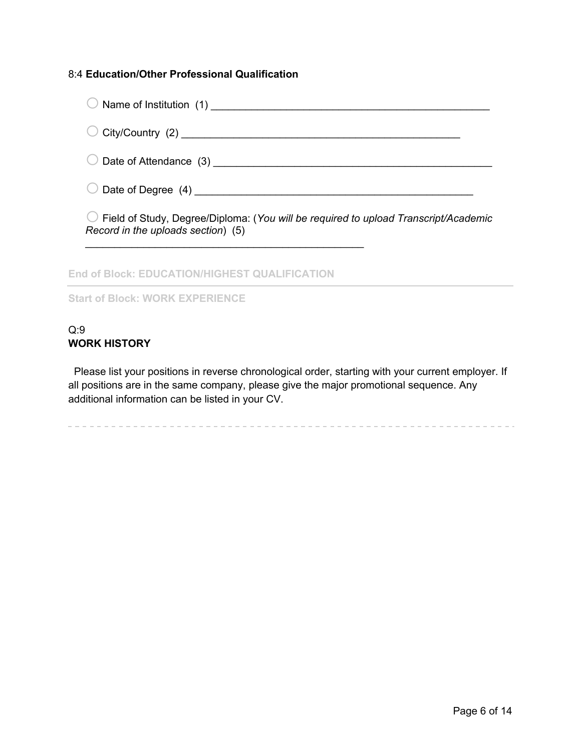#### 8:4 **Education/Other Professional Qualification**

| Field of Study, Degree/Diploma: (You will be required to upload Transcript/Academic<br>Record in the uploads section) (5) |  |
|---------------------------------------------------------------------------------------------------------------------------|--|
|                                                                                                                           |  |

**End of Block: EDUCATION/HIGHEST QUALIFICATION**

**Start of Block: WORK EXPERIENCE**

### Q:9 **WORK HISTORY**

Please list your positions in reverse chronological order, starting with your current employer. If all positions are in the same company, please give the major promotional sequence. Any additional information can be listed in your CV.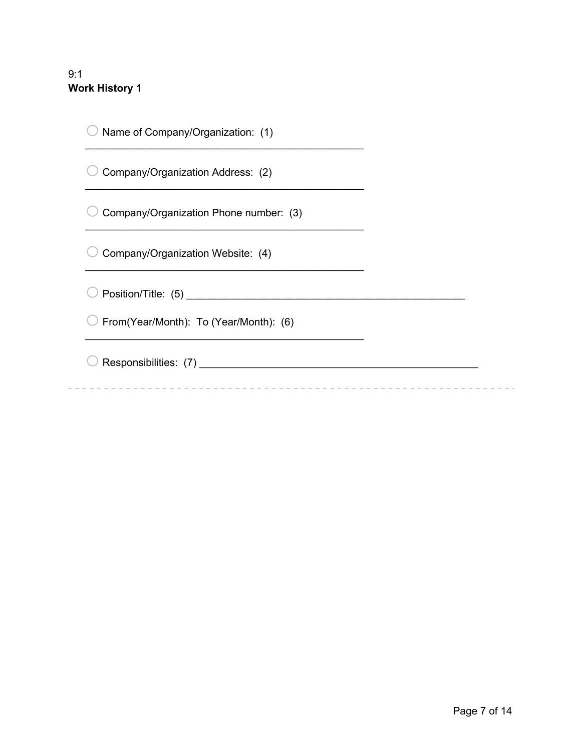## 9:1 **Work History 1**

| Name of Company/Organization: (1)      |  |
|----------------------------------------|--|
| Company/Organization Address: (2)      |  |
| Company/Organization Phone number: (3) |  |
| Company/Organization Website: (4)      |  |
|                                        |  |
| From(Year/Month): To (Year/Month): (6) |  |
| Responsibilities: (7)                  |  |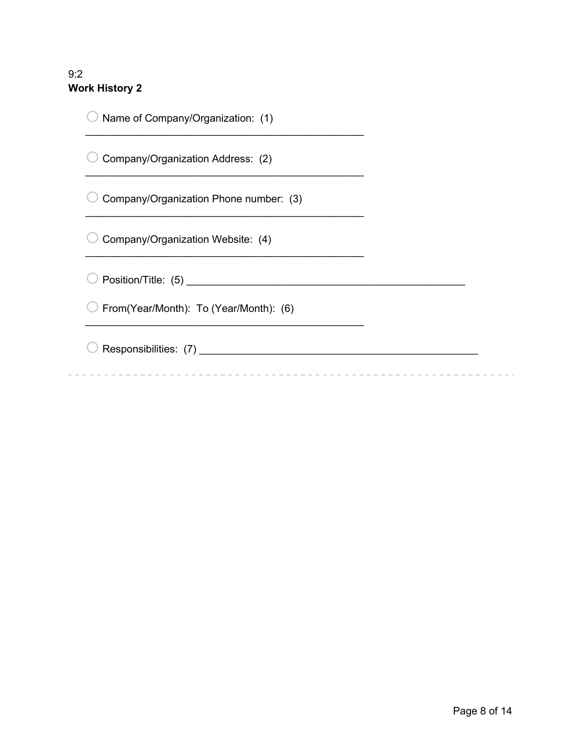## 9:2 **Work History 2**

| Name of Company/Organization: (1)      |  |
|----------------------------------------|--|
| Company/Organization Address: (2)      |  |
| Company/Organization Phone number: (3) |  |
| Company/Organization Website: (4)      |  |
|                                        |  |
| From(Year/Month): To (Year/Month): (6) |  |
| Responsibilities: (7)                  |  |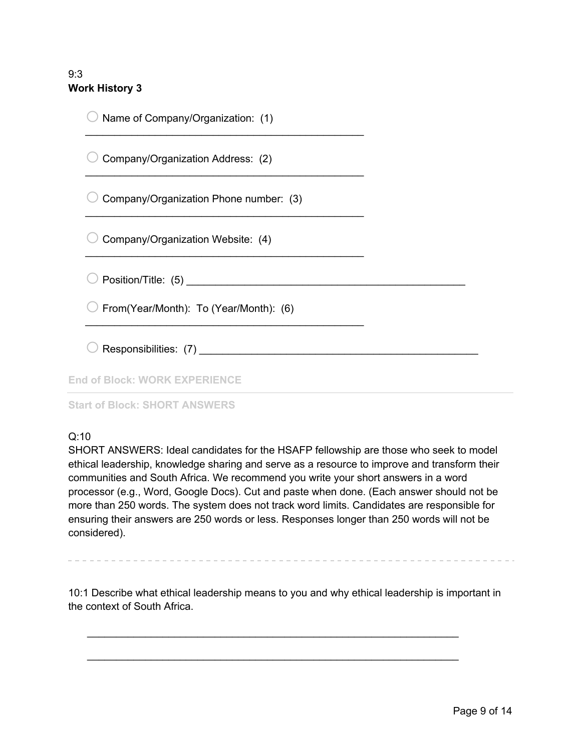### 9:3 **Work History 3**

| Name of Company/Organization: (1)      |  |
|----------------------------------------|--|
| Company/Organization Address: (2)      |  |
| Company/Organization Phone number: (3) |  |
| Company/Organization Website: (4)      |  |
|                                        |  |
| From(Year/Month): To (Year/Month): (6) |  |
| Responsibilities: (7)                  |  |
| <b>End of Block: WORK EXPERIENCE</b>   |  |

#### **Start of Block: SHORT ANSWERS**

#### Q:10

SHORT ANSWERS: Ideal candidates for the HSAFP fellowship are those who seek to model ethical leadership, knowledge sharing and serve as a resource to improve and transform their communities and South Africa. We recommend you write your short answers in a word processor (e.g., Word, Google Docs). Cut and paste when done. (Each answer should not be more than 250 words. The system does not track word limits. Candidates are responsible for ensuring their answers are 250 words or less. Responses longer than 250 words will not be considered).

10:1 Describe what ethical leadership means to you and why ethical leadership is important in the context of South Africa.

 $\mathcal{L}_\text{max} = \mathcal{L}_\text{max} = \mathcal{L}_\text{max} = \mathcal{L}_\text{max} = \mathcal{L}_\text{max} = \mathcal{L}_\text{max} = \mathcal{L}_\text{max} = \mathcal{L}_\text{max} = \mathcal{L}_\text{max} = \mathcal{L}_\text{max} = \mathcal{L}_\text{max} = \mathcal{L}_\text{max} = \mathcal{L}_\text{max} = \mathcal{L}_\text{max} = \mathcal{L}_\text{max} = \mathcal{L}_\text{max} = \mathcal{L}_\text{max} = \mathcal{L}_\text{max} = \mathcal{$ 

 $\mathcal{L}_\text{max} = \mathcal{L}_\text{max} = \mathcal{L}_\text{max} = \mathcal{L}_\text{max} = \mathcal{L}_\text{max} = \mathcal{L}_\text{max} = \mathcal{L}_\text{max} = \mathcal{L}_\text{max} = \mathcal{L}_\text{max} = \mathcal{L}_\text{max} = \mathcal{L}_\text{max} = \mathcal{L}_\text{max} = \mathcal{L}_\text{max} = \mathcal{L}_\text{max} = \mathcal{L}_\text{max} = \mathcal{L}_\text{max} = \mathcal{L}_\text{max} = \mathcal{L}_\text{max} = \mathcal{$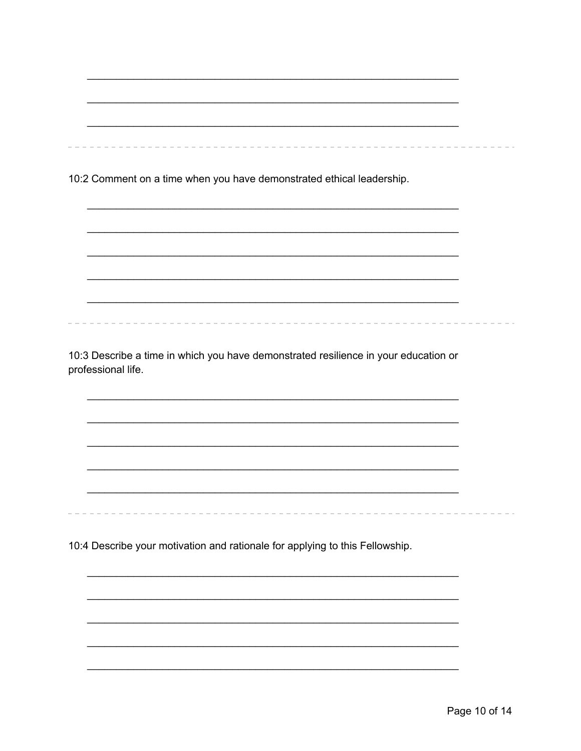10:2 Comment on a time when you have demonstrated ethical leadership.

10:3 Describe a time in which you have demonstrated resilience in your education or professional life.

10:4 Describe your motivation and rationale for applying to this Fellowship.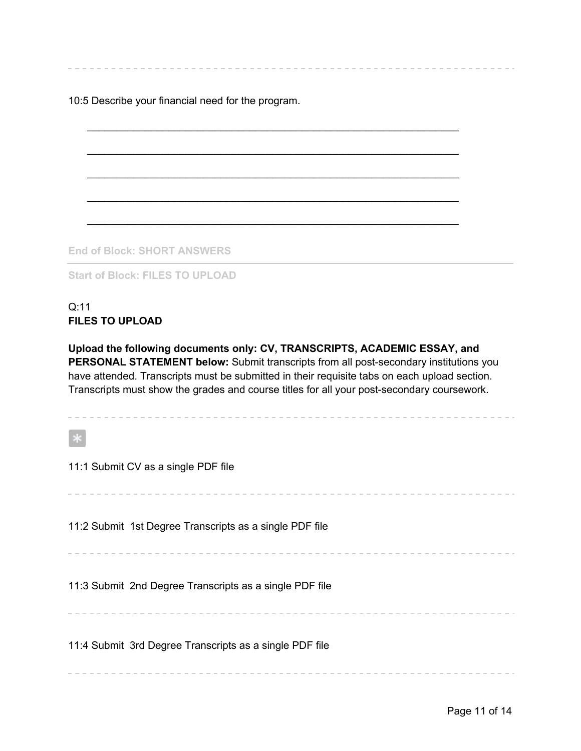10:5 Describe your financial need for the program.

**End of Block: SHORT ANSWERS**

**Start of Block: FILES TO UPLOAD**

#### Q:11 **FILES TO UPLOAD**

**Upload the following documents only: CV, TRANSCRIPTS, ACADEMIC ESSAY, and PERSONAL STATEMENT below:** Submit transcripts from all post-secondary institutions you have attended. Transcripts must be submitted in their requisite tabs on each upload section. Transcripts must show the grades and course titles for all your post-secondary coursework.

 $\mathcal{L}_\text{max} = \mathcal{L}_\text{max} = \mathcal{L}_\text{max} = \mathcal{L}_\text{max} = \mathcal{L}_\text{max} = \mathcal{L}_\text{max} = \mathcal{L}_\text{max} = \mathcal{L}_\text{max} = \mathcal{L}_\text{max} = \mathcal{L}_\text{max} = \mathcal{L}_\text{max} = \mathcal{L}_\text{max} = \mathcal{L}_\text{max} = \mathcal{L}_\text{max} = \mathcal{L}_\text{max} = \mathcal{L}_\text{max} = \mathcal{L}_\text{max} = \mathcal{L}_\text{max} = \mathcal{$ 

 $\mathcal{L}_\text{max} = \mathcal{L}_\text{max} = \mathcal{L}_\text{max} = \mathcal{L}_\text{max} = \mathcal{L}_\text{max} = \mathcal{L}_\text{max} = \mathcal{L}_\text{max} = \mathcal{L}_\text{max} = \mathcal{L}_\text{max} = \mathcal{L}_\text{max} = \mathcal{L}_\text{max} = \mathcal{L}_\text{max} = \mathcal{L}_\text{max} = \mathcal{L}_\text{max} = \mathcal{L}_\text{max} = \mathcal{L}_\text{max} = \mathcal{L}_\text{max} = \mathcal{L}_\text{max} = \mathcal{$ 

 $\mathcal{L}_\text{max} = \mathcal{L}_\text{max} = \mathcal{L}_\text{max} = \mathcal{L}_\text{max} = \mathcal{L}_\text{max} = \mathcal{L}_\text{max} = \mathcal{L}_\text{max} = \mathcal{L}_\text{max} = \mathcal{L}_\text{max} = \mathcal{L}_\text{max} = \mathcal{L}_\text{max} = \mathcal{L}_\text{max} = \mathcal{L}_\text{max} = \mathcal{L}_\text{max} = \mathcal{L}_\text{max} = \mathcal{L}_\text{max} = \mathcal{L}_\text{max} = \mathcal{L}_\text{max} = \mathcal{$ 

 $\mathcal{L}_\text{max} = \mathcal{L}_\text{max} = \mathcal{L}_\text{max} = \mathcal{L}_\text{max} = \mathcal{L}_\text{max} = \mathcal{L}_\text{max} = \mathcal{L}_\text{max} = \mathcal{L}_\text{max} = \mathcal{L}_\text{max} = \mathcal{L}_\text{max} = \mathcal{L}_\text{max} = \mathcal{L}_\text{max} = \mathcal{L}_\text{max} = \mathcal{L}_\text{max} = \mathcal{L}_\text{max} = \mathcal{L}_\text{max} = \mathcal{L}_\text{max} = \mathcal{L}_\text{max} = \mathcal{$ 

 $*$ 11:1 Submit CV as a single PDF file 11:2 Submit 1st Degree Transcripts as a single PDF file 11:3 Submit 2nd Degree Transcripts as a single PDF file . . . . . . . . . . . . 11:4 Submit 3rd Degree Transcripts as a single PDF file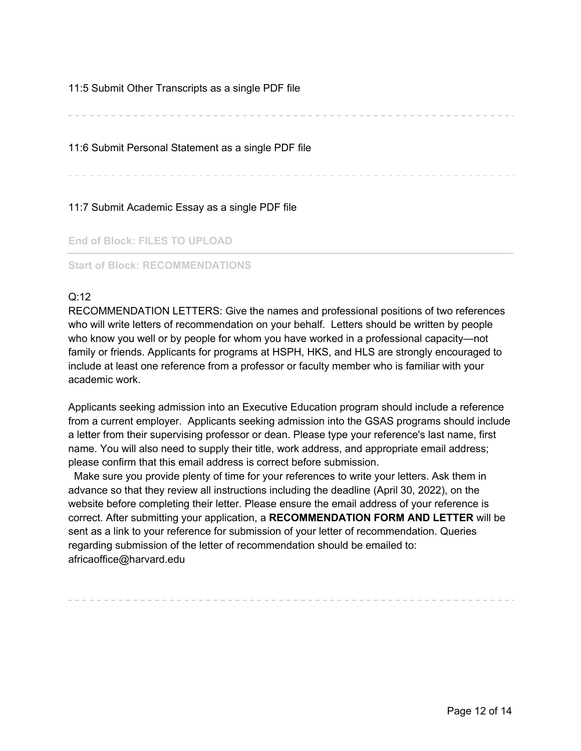#### 11:5 Submit Other Transcripts as a single PDF file

11:6 Submit Personal Statement as a single PDF file

11:7 Submit Academic Essay as a single PDF file

**End of Block: FILES TO UPLOAD**

#### **Start of Block: RECOMMENDATIONS**

#### Q:12

RECOMMENDATION LETTERS: Give the names and professional positions of two references who will write letters of recommendation on your behalf. Letters should be written by people who know you well or by people for whom you have worked in a professional capacity—not family or friends. Applicants for programs at HSPH, HKS, and HLS are strongly encouraged to include at least one reference from a professor or faculty member who is familiar with your academic work.

Applicants seeking admission into an Executive Education program should include a reference from a current employer. Applicants seeking admission into the GSAS programs should include a letter from their supervising professor or dean. Please type your reference's last name, first name. You will also need to supply their title, work address, and appropriate email address; please confirm that this email address is correct before submission.

Make sure you provide plenty of time for your references to write your letters. Ask them in advance so that they review all instructions including the deadline (April 30, 2022), on the website before completing their letter. Please ensure the email address of your reference is correct. After submitting your application, a **RECOMMENDATION FORM AND LETTER** will be sent as a link to your reference for submission of your letter of recommendation. Queries regarding submission of the letter of recommendation should be emailed to: africaoffice@harvard.edu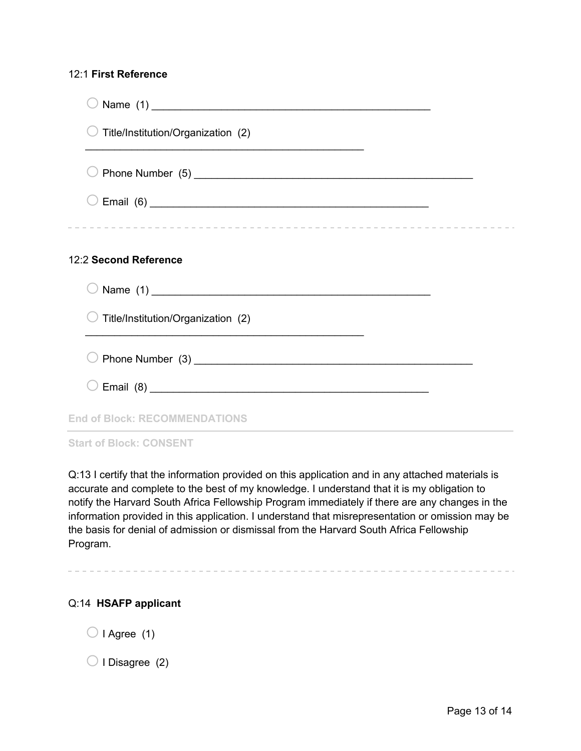#### 12:1 **First Reference**

| Title/Institution/Organization (2)   |  |
|--------------------------------------|--|
|                                      |  |
|                                      |  |
|                                      |  |
| 12:2 Second Reference                |  |
|                                      |  |
| Title/Institution/Organization (2)   |  |
|                                      |  |
|                                      |  |
| <b>End of Block: RECOMMENDATIONS</b> |  |
| <b>Start of Block: CONSENT</b>       |  |

Q:13 I certify that the information provided on this application and in any attached materials is accurate and complete to the best of my knowledge. I understand that it is my obligation to notify the Harvard South Africa Fellowship Program immediately if there are any changes in the information provided in this application. I understand that misrepresentation or omission may be the basis for denial of admission or dismissal from the Harvard South Africa Fellowship Program.

#### Q:14 **HSAFP applicant**

 $\bigcirc$  I Agree (1)

 $\bigcirc$  I Disagree (2)